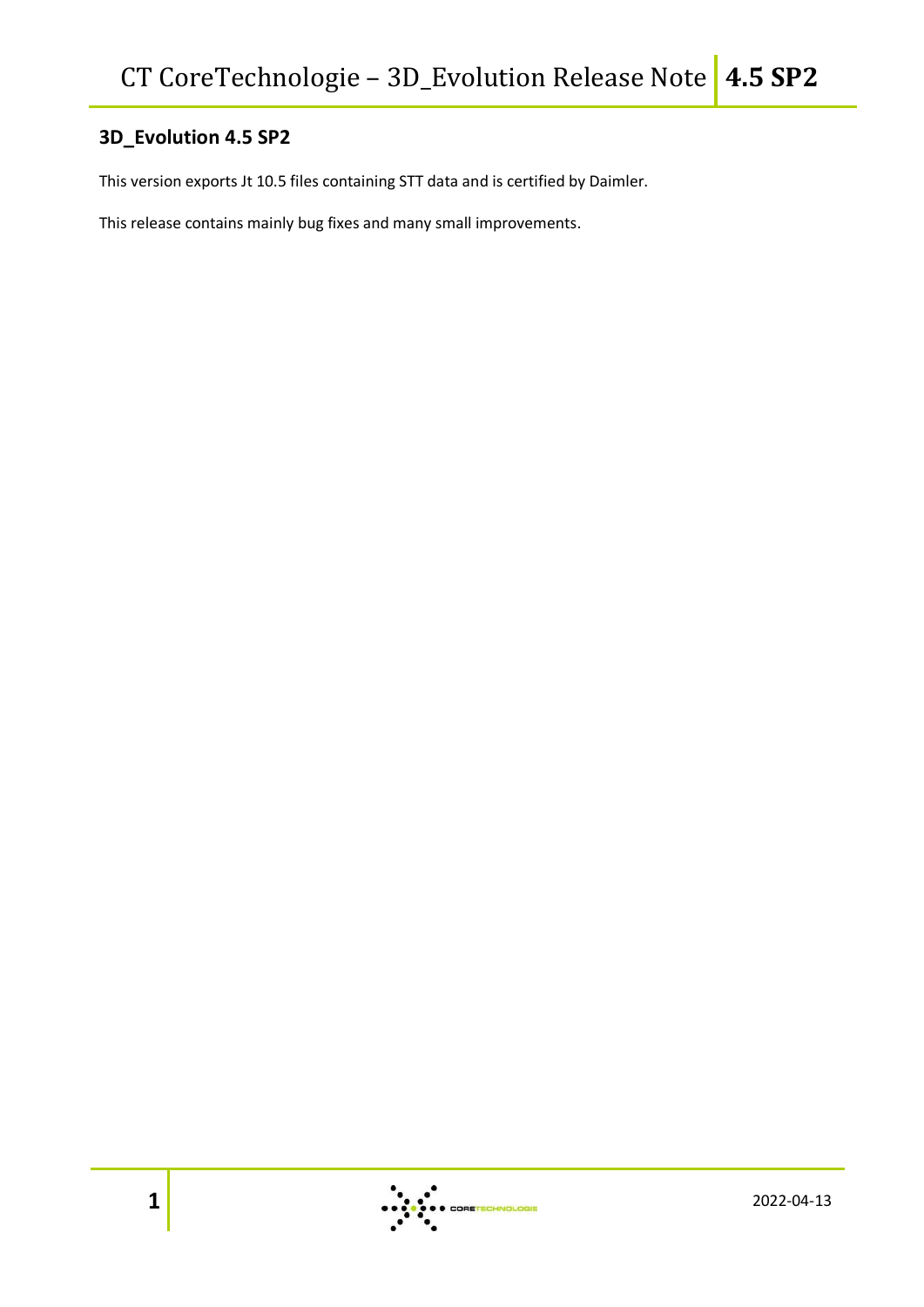## **3D\_Evolution 4.5 SP2**

This version exports Jt 10.5 files containing STT data and is certified by Daimler.

This release contains mainly bug fixes and many small improvements.

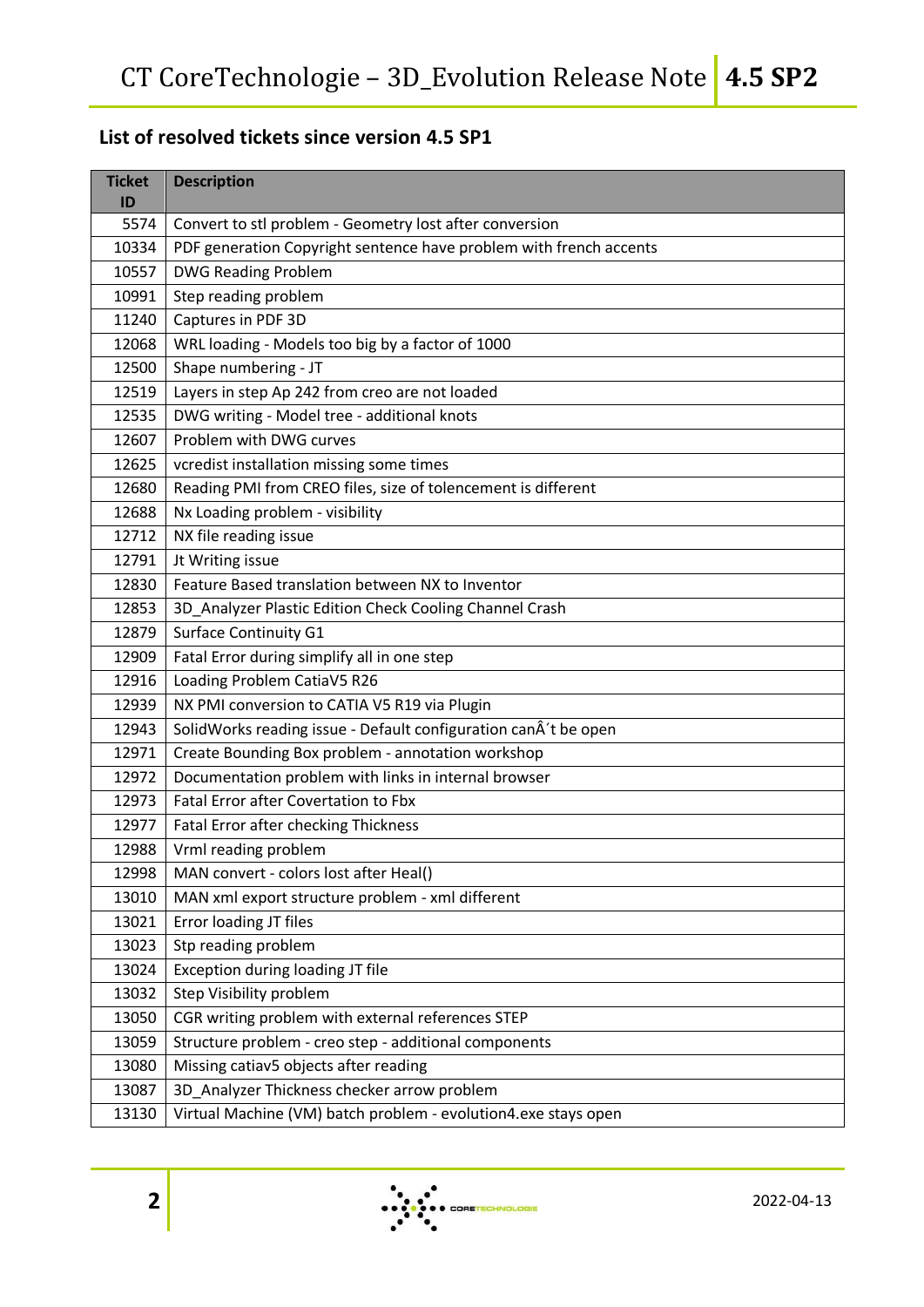## **List of resolved tickets since version 4.5 SP1**

| <b>Ticket</b><br>ID | <b>Description</b>                                                 |
|---------------------|--------------------------------------------------------------------|
| 5574                | Convert to stl problem - Geometry lost after conversion            |
| 10334               | PDF generation Copyright sentence have problem with french accents |
| 10557               | <b>DWG Reading Problem</b>                                         |
| 10991               | Step reading problem                                               |
| 11240               | Captures in PDF 3D                                                 |
| 12068               | WRL loading - Models too big by a factor of 1000                   |
| 12500               | Shape numbering - JT                                               |
| 12519               | Layers in step Ap 242 from creo are not loaded                     |
| 12535               | DWG writing - Model tree - additional knots                        |
| 12607               | Problem with DWG curves                                            |
| 12625               | vcredist installation missing some times                           |
| 12680               | Reading PMI from CREO files, size of tolencement is different      |
| 12688               | Nx Loading problem - visibility                                    |
| 12712               | NX file reading issue                                              |
| 12791               | Jt Writing issue                                                   |
| 12830               | Feature Based translation between NX to Inventor                   |
| 12853               | 3D_Analyzer Plastic Edition Check Cooling Channel Crash            |
| 12879               | <b>Surface Continuity G1</b>                                       |
| 12909               | Fatal Error during simplify all in one step                        |
| 12916               | Loading Problem CatiaV5 R26                                        |
| 12939               | NX PMI conversion to CATIA V5 R19 via Plugin                       |
| 12943               | SolidWorks reading issue - Default configuration canÂ't be open    |
| 12971               | Create Bounding Box problem - annotation workshop                  |
| 12972               | Documentation problem with links in internal browser               |
| 12973               | <b>Fatal Error after Covertation to Fbx</b>                        |
| 12977               | <b>Fatal Error after checking Thickness</b>                        |
| 12988               | Vrml reading problem                                               |
| 12998               | MAN convert - colors lost after Heal()                             |
| 13010               | MAN xml export structure problem - xml different                   |
| 13021               | Error loading JT files                                             |
| 13023               | Stp reading problem                                                |
| 13024               | Exception during loading JT file                                   |
| 13032               | Step Visibility problem                                            |
| 13050               | CGR writing problem with external references STEP                  |
| 13059               | Structure problem - creo step - additional components              |
| 13080               | Missing catiav5 objects after reading                              |
| 13087               | 3D_Analyzer Thickness checker arrow problem                        |
| 13130               | Virtual Machine (VM) batch problem - evolution4.exe stays open     |